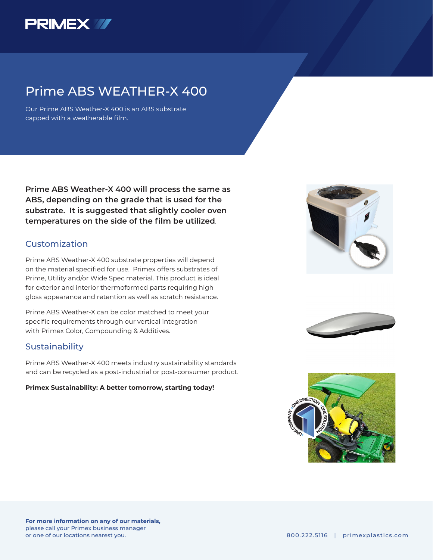

## Prime ABS WEATHER-X 400

Our Prime ABS Weather-X 400 is an ABS substrate capped with a weatherable film.

**Prime ABS Weather-X 400 will process the same as ABS, depending on the grade that is used for the substrate. It is suggested that slightly cooler oven temperatures on the side of the film be utilized**.

### **Customization**

Prime ABS Weather-X 400 substrate properties will depend on the material specified for use. Primex offers substrates of Prime, Utility and/or Wide Spec material. This product is ideal for exterior and interior thermoformed parts requiring high gloss appearance and retention as well as scratch resistance.

Prime ABS Weather-X can be color matched to meet your specific requirements through our vertical integration with Primex Color, Compounding & Additives.

### Sustainability

Prime ABS Weather-X 400 meets industry sustainability standards and can be recycled as a post-industrial or post-consumer product.

#### **Primex Sustainability: A better tomorrow, starting today!**